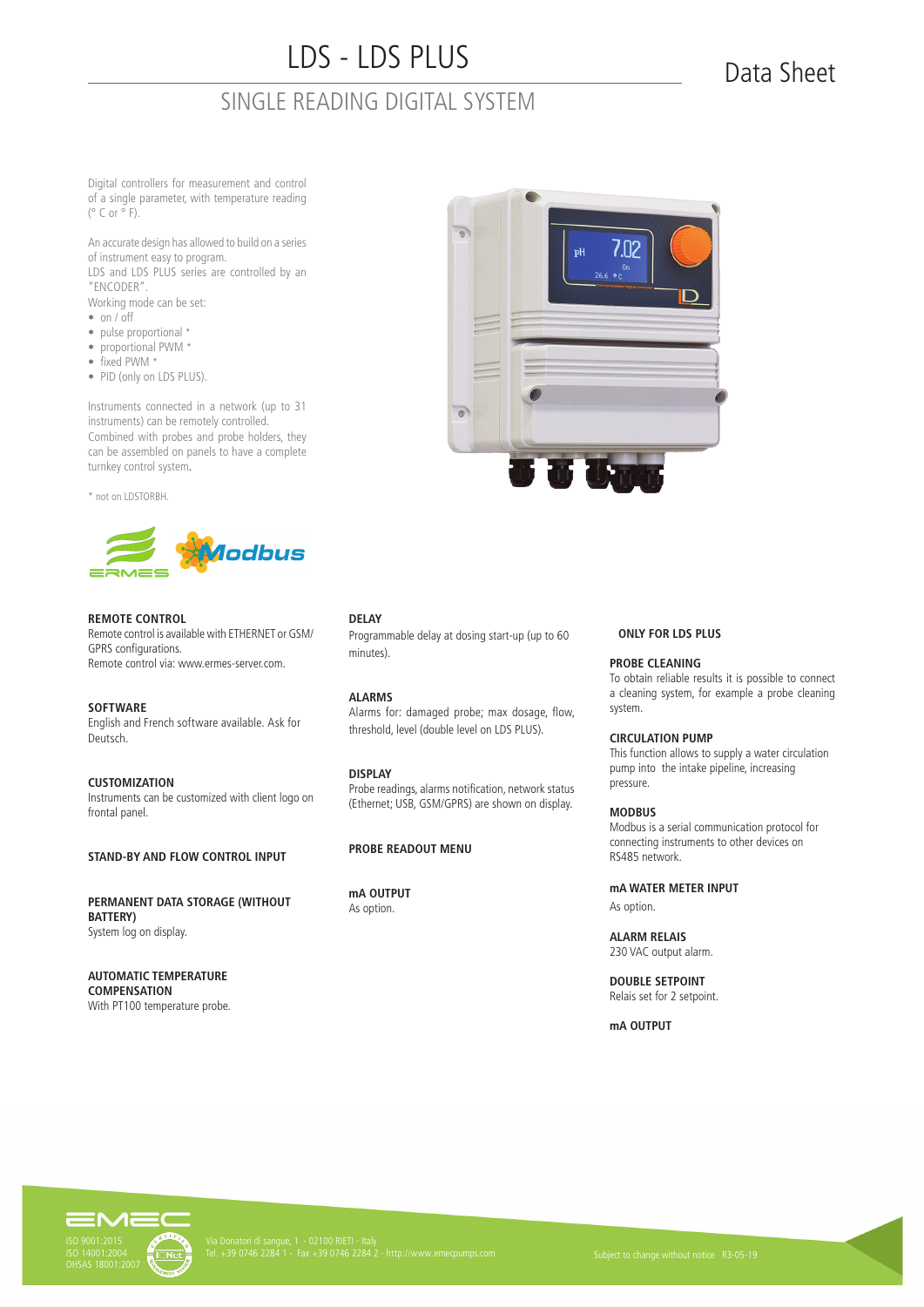# LDS - LDS PLUS

### SINGLE READING DIGITAL SYSTEM

## Data Sheet

Digital controllers for measurement and control of a single parameter, with temperature reading  $(^{\circ}$  C or  $^{\circ}$  F).

An accurate design has allowed to build on a series of instrument easy to program. LDS and LDS PLUS series are controlled by an "ENCODER".

Working mode can be set:

- on / off
- pulse proportional \*
- proportional PWM \*
- fixed PWM \*
- PID (only on LDS PLUS).

Instruments connected in a network (up to 31 instruments) can be remotely controlled. Combined with probes and probe holders, they can be assembled on panels to have a complete turnkey control system.

\* not on LDSTORBH.



#### **REMOTE CONTROL**

Remote control is available with ETHERNET or GSM/ GPRS configurations. Remote control via: www.ermes-server.com.

**SOFTWARE** English and French software available. Ask for Deutsch.

**CUSTOMIZATION** Instruments can be customized with client logo on frontal panel.

**STAND-BY AND FLOW CONTROL INPUT**

**PERMANENT DATA STORAGE (WITHOUT BATTERY)**  System log on display.

**AUTOMATIC TEMPERATURE COMPENSATION** With PT100 temperature probe.



#### **DELAY**

Programmable delay at dosing start-up (up to 60 minutes).

#### **ALARMS**

Alarms for: damaged probe; max dosage, flow, threshold, level (double level on LDS PLUS).

#### **DISPLAY**

Probe readings, alarms notification, network status (Ethernet; USB, GSM/GPRS) are shown on display.

#### **PROBE READOUT MENU**

**mA OUTPUT** As option.

#### **ONLY FOR LDS PLUS**

#### **PROBE CLEANING**

To obtain reliable results it is possible to connect a cleaning system, for example a probe cleaning system.

#### **CIRCULATION PUMP**

This function allows to supply a water circulation pump into the intake pipeline, increasing pressure.

#### **MODBUS**

Modbus is a serial communication protocol for connecting instruments to other devices on RS485 network.

#### **mA WATER METER INPUT**

As option.

**ALARM RELAIS** 230 VAC output alarm.

**DOUBLE SETPOINT** Relais set for 2 setpoint.

**mA OUTPUT**

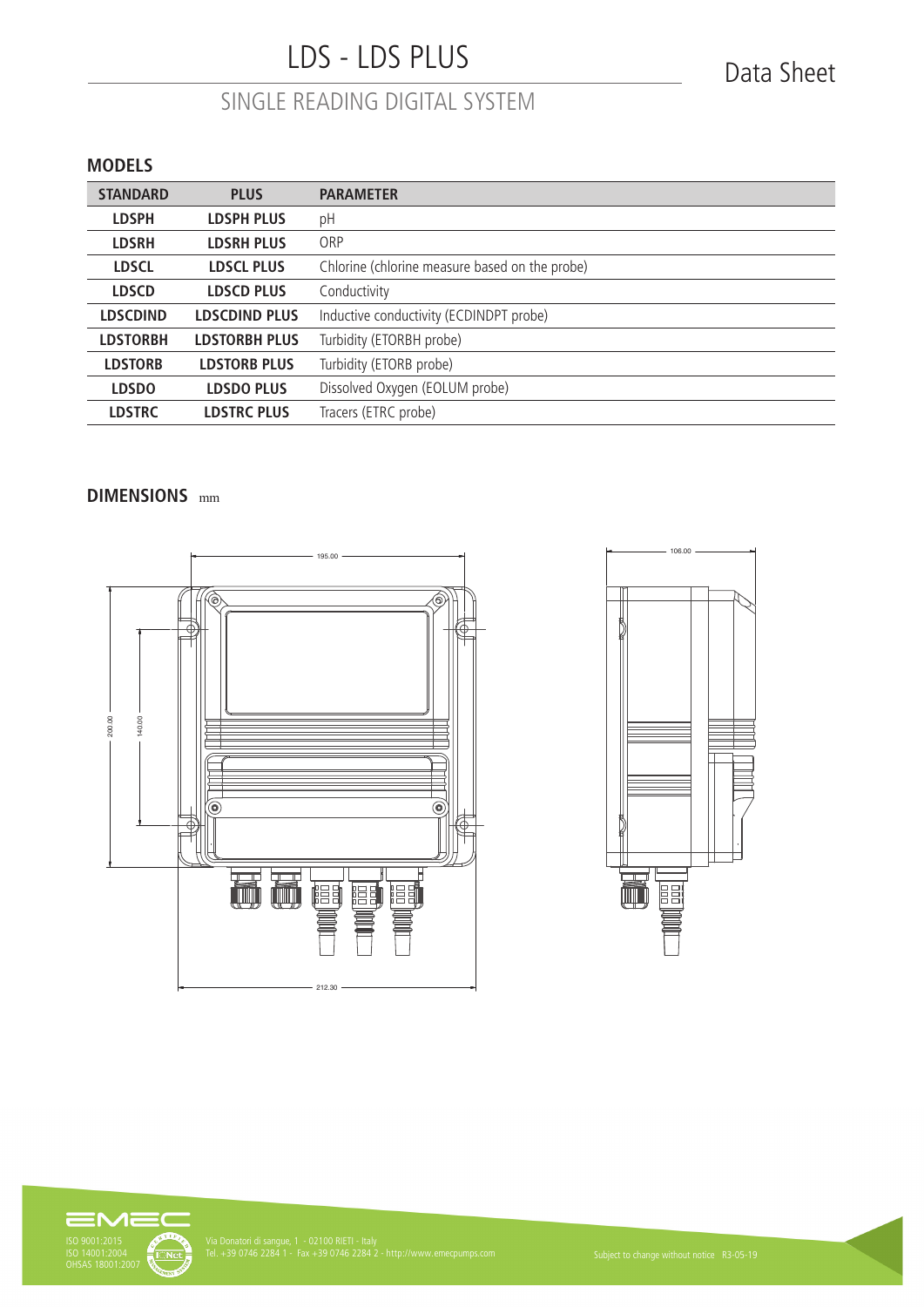# LDS - LDS PLUS

## SINGLE READING DIGITAL SYSTEM

#### **MODELS**

| <b>STANDARD</b> | <b>PLUS</b>          | <b>PARAMETER</b>                               |
|-----------------|----------------------|------------------------------------------------|
| <b>LDSPH</b>    | <b>LDSPH PLUS</b>    | pH                                             |
| <b>LDSRH</b>    | <b>LDSRH PLUS</b>    | ORP                                            |
| <b>LDSCL</b>    | <b>LDSCL PLUS</b>    | Chlorine (chlorine measure based on the probe) |
| <b>LDSCD</b>    | <b>LDSCD PLUS</b>    | Conductivity                                   |
| <b>LDSCDIND</b> | <b>LDSCDIND PLUS</b> | Inductive conductivity (ECDINDPT probe)        |
| <b>LDSTORBH</b> | <b>LDSTORBH PLUS</b> | Turbidity (ETORBH probe)                       |
| <b>LDSTORB</b>  | <b>LDSTORB PLUS</b>  | Turbidity (ETORB probe)                        |
| <b>LDSDO</b>    | <b>LDSDO PLUS</b>    | Dissolved Oxygen (EOLUM probe)                 |
| <b>LDSTRC</b>   | <b>LDSTRC PLUS</b>   | Tracers (ETRC probe)                           |

#### **DIMENSIONS** mm and the contract of the contract of the contract of the contract of the contract of the contract of the contract of the contract of the contract of the contract of the contract of the contract of the contract of the con





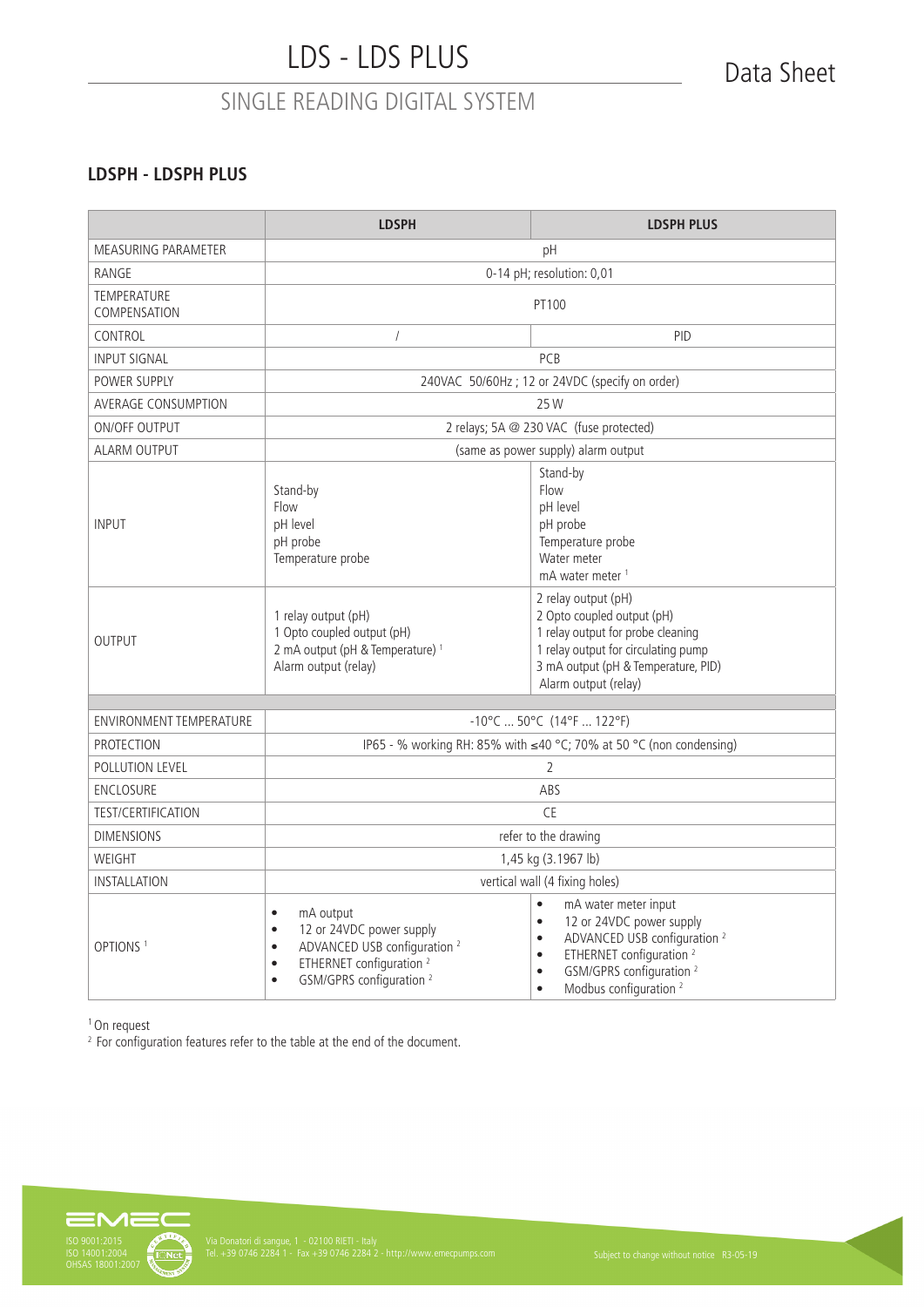### **LDSPH - LDSPH PLUS**

|                                | <b>LDSPH</b>                                                                                                                                                                                                                    | <b>LDSPH PLUS</b>                                                                                                                                                                                                                                                                            |  |
|--------------------------------|---------------------------------------------------------------------------------------------------------------------------------------------------------------------------------------------------------------------------------|----------------------------------------------------------------------------------------------------------------------------------------------------------------------------------------------------------------------------------------------------------------------------------------------|--|
| <b>MEASURING PARAMETER</b>     | pH                                                                                                                                                                                                                              |                                                                                                                                                                                                                                                                                              |  |
| RANGE                          | 0-14 pH; resolution: 0,01                                                                                                                                                                                                       |                                                                                                                                                                                                                                                                                              |  |
| TEMPERATURE<br>COMPENSATION    | PT100                                                                                                                                                                                                                           |                                                                                                                                                                                                                                                                                              |  |
| CONTROL                        | $\sqrt{ }$                                                                                                                                                                                                                      | PID                                                                                                                                                                                                                                                                                          |  |
| <b>INPUT SIGNAL</b>            |                                                                                                                                                                                                                                 | PCB                                                                                                                                                                                                                                                                                          |  |
| POWER SUPPLY                   | 240VAC 50/60Hz; 12 or 24VDC (specify on order)                                                                                                                                                                                  |                                                                                                                                                                                                                                                                                              |  |
| <b>AVERAGE CONSUMPTION</b>     |                                                                                                                                                                                                                                 | 25W                                                                                                                                                                                                                                                                                          |  |
| ON/OFF OUTPUT                  |                                                                                                                                                                                                                                 | 2 relays; 5A @ 230 VAC (fuse protected)                                                                                                                                                                                                                                                      |  |
| <b>ALARM OUTPUT</b>            |                                                                                                                                                                                                                                 | (same as power supply) alarm output                                                                                                                                                                                                                                                          |  |
| <b>INPUT</b>                   | Stand-by<br>Flow<br>pH level<br>pH probe<br>Temperature probe                                                                                                                                                                   | Stand-by<br>Flow<br>pH level<br>pH probe<br>Temperature probe<br>Water meter<br>mA water meter <sup>1</sup>                                                                                                                                                                                  |  |
| <b>OUTPUT</b>                  | 1 relay output (pH)<br>1 Opto coupled output (pH)<br>2 mA output (pH & Temperature) <sup>1</sup><br>Alarm output (relay)                                                                                                        | 2 relay output (pH)<br>2 Opto coupled output (pH)<br>1 relay output for probe cleaning<br>1 relay output for circulating pump<br>3 mA output (pH & Temperature, PID)<br>Alarm output (relay)                                                                                                 |  |
| <b>ENVIRONMENT TEMPERATURE</b> | $-10^{\circ}$ C  50°C (14°F  122°F)                                                                                                                                                                                             |                                                                                                                                                                                                                                                                                              |  |
| <b>PROTECTION</b>              | IP65 - % working RH: 85% with ≤40 °C; 70% at 50 °C (non condensing)                                                                                                                                                             |                                                                                                                                                                                                                                                                                              |  |
| POLLUTION LEVEL                | 2                                                                                                                                                                                                                               |                                                                                                                                                                                                                                                                                              |  |
| <b>ENCLOSURE</b>               | ABS                                                                                                                                                                                                                             |                                                                                                                                                                                                                                                                                              |  |
| <b>TEST/CERTIFICATION</b>      | CE                                                                                                                                                                                                                              |                                                                                                                                                                                                                                                                                              |  |
| <b>DIMENSIONS</b>              | refer to the drawing                                                                                                                                                                                                            |                                                                                                                                                                                                                                                                                              |  |
| WEIGHT                         | 1,45 kg (3.1967 lb)                                                                                                                                                                                                             |                                                                                                                                                                                                                                                                                              |  |
| INSTALLATION                   | vertical wall (4 fixing holes)                                                                                                                                                                                                  |                                                                                                                                                                                                                                                                                              |  |
| OPTIONS <sup>1</sup>           | mA output<br>$\bullet$<br>12 or 24VDC power supply<br>$\bullet$<br>ADVANCED USB configuration <sup>2</sup><br>$\bullet$<br>ETHERNET configuration <sup>2</sup><br>$\bullet$<br>GSM/GPRS configuration <sup>2</sup><br>$\bullet$ | $\bullet$<br>mA water meter input<br>12 or 24VDC power supply<br>$\bullet$<br>ADVANCED USB configuration <sup>2</sup><br>$\bullet$<br>ETHERNET configuration <sup>2</sup><br>$\bullet$<br>GSM/GPRS configuration <sup>2</sup><br>$\bullet$<br>Modbus configuration <sup>2</sup><br>$\bullet$ |  |

1 On request

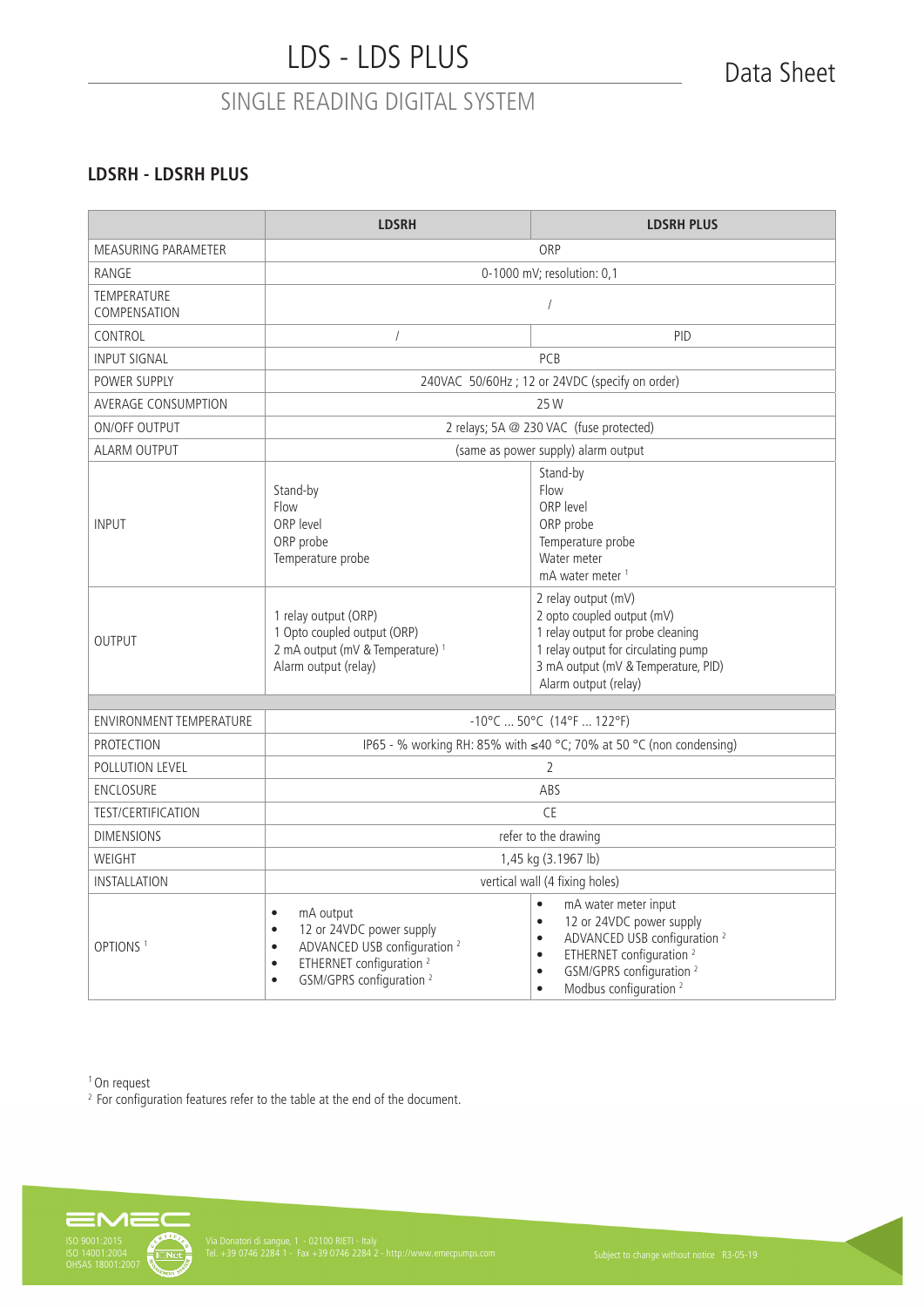### **LDSRH - LDSRH PLUS**

|                                    | <b>LDSRH</b>                                                                                                                                                                                                                    | <b>LDSRH PLUS</b>                                                                                                                                                                                                                                                                            |  |
|------------------------------------|---------------------------------------------------------------------------------------------------------------------------------------------------------------------------------------------------------------------------------|----------------------------------------------------------------------------------------------------------------------------------------------------------------------------------------------------------------------------------------------------------------------------------------------|--|
| MEASURING PARAMETER                | ORP                                                                                                                                                                                                                             |                                                                                                                                                                                                                                                                                              |  |
| RANGE                              |                                                                                                                                                                                                                                 | 0-1000 mV; resolution: 0,1                                                                                                                                                                                                                                                                   |  |
| <b>TEMPERATURE</b><br>COMPENSATION | $\sqrt{2}$                                                                                                                                                                                                                      |                                                                                                                                                                                                                                                                                              |  |
| CONTROL                            | $\sqrt{ }$                                                                                                                                                                                                                      | PID                                                                                                                                                                                                                                                                                          |  |
| <b>INPUT SIGNAL</b>                |                                                                                                                                                                                                                                 | PCB                                                                                                                                                                                                                                                                                          |  |
| POWER SUPPLY                       | 240VAC 50/60Hz; 12 or 24VDC (specify on order)                                                                                                                                                                                  |                                                                                                                                                                                                                                                                                              |  |
| AVERAGE CONSUMPTION                |                                                                                                                                                                                                                                 | 25 W                                                                                                                                                                                                                                                                                         |  |
| ON/OFF OUTPUT                      |                                                                                                                                                                                                                                 | 2 relays; 5A @ 230 VAC (fuse protected)                                                                                                                                                                                                                                                      |  |
| <b>ALARM OUTPUT</b>                |                                                                                                                                                                                                                                 | (same as power supply) alarm output                                                                                                                                                                                                                                                          |  |
| <b>INPUT</b>                       | Stand-by<br>Flow<br>ORP level<br>ORP probe<br>Temperature probe                                                                                                                                                                 | Stand-by<br>Flow<br>ORP level<br>ORP probe<br>Temperature probe<br>Water meter<br>mA water meter <sup>1</sup>                                                                                                                                                                                |  |
| <b>OUTPUT</b>                      | 1 relay output (ORP)<br>1 Opto coupled output (ORP)<br>2 mA output (mV & Temperature) <sup>1</sup><br>Alarm output (relay)                                                                                                      | 2 relay output (mV)<br>2 opto coupled output (mV)<br>1 relay output for probe cleaning<br>1 relay output for circulating pump<br>3 mA output (mV & Temperature, PID)<br>Alarm output (relay)                                                                                                 |  |
| <b>ENVIRONMENT TEMPERATURE</b>     | $-10^{\circ}$ C  50°C (14°F  122°F)                                                                                                                                                                                             |                                                                                                                                                                                                                                                                                              |  |
| <b>PROTECTION</b>                  | IP65 - % working RH: 85% with ≤40 °C; 70% at 50 °C (non condensing)                                                                                                                                                             |                                                                                                                                                                                                                                                                                              |  |
| POLLUTION LEVEL                    | 2                                                                                                                                                                                                                               |                                                                                                                                                                                                                                                                                              |  |
| <b>ENCLOSURE</b>                   | ABS                                                                                                                                                                                                                             |                                                                                                                                                                                                                                                                                              |  |
| <b>TEST/CERTIFICATION</b>          | <b>CE</b>                                                                                                                                                                                                                       |                                                                                                                                                                                                                                                                                              |  |
| <b>DIMENSIONS</b>                  |                                                                                                                                                                                                                                 | refer to the drawing                                                                                                                                                                                                                                                                         |  |
| WEIGHT                             | 1,45 kg (3.1967 lb)                                                                                                                                                                                                             |                                                                                                                                                                                                                                                                                              |  |
| <b>INSTALLATION</b>                | vertical wall (4 fixing holes)                                                                                                                                                                                                  |                                                                                                                                                                                                                                                                                              |  |
| OPTIONS <sup>1</sup>               | mA output<br>$\bullet$<br>12 or 24VDC power supply<br>$\bullet$<br>ADVANCED USB configuration <sup>2</sup><br>$\bullet$<br>ETHERNET configuration <sup>2</sup><br>$\bullet$<br>GSM/GPRS configuration <sup>2</sup><br>$\bullet$ | $\bullet$<br>mA water meter input<br>12 or 24VDC power supply<br>$\bullet$<br>ADVANCED USB configuration <sup>2</sup><br>$\bullet$<br>ETHERNET configuration <sup>2</sup><br>$\bullet$<br>GSM/GPRS configuration <sup>2</sup><br>$\bullet$<br>Modbus configuration <sup>2</sup><br>$\bullet$ |  |

1 On request

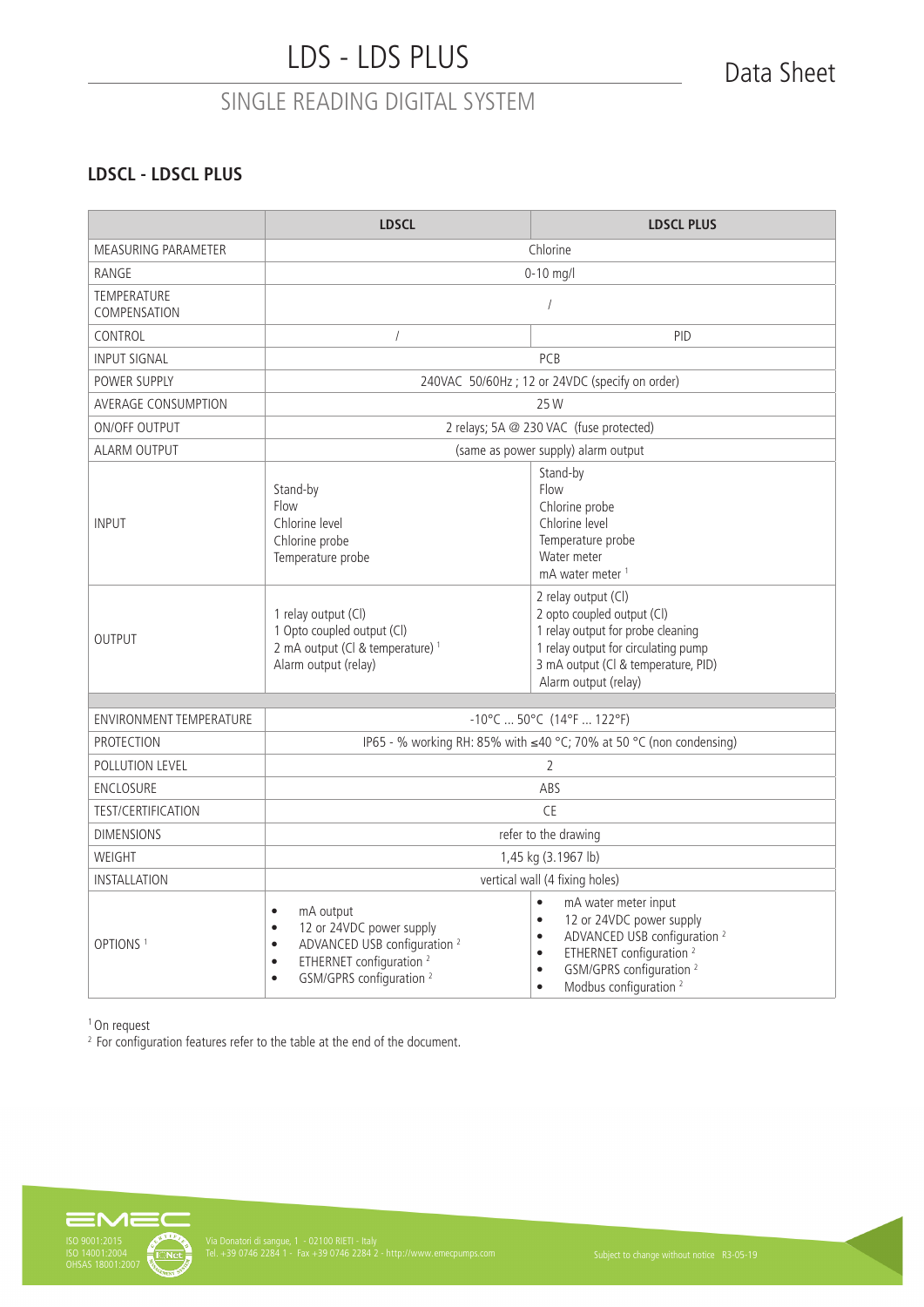### **LDSCL - LDSCL PLUS**

|                                    | <b>LDSCL</b>                                                                                                                                                                                                                    | <b>LDSCL PLUS</b>                                                                                                                                                                                                                                                                            |  |
|------------------------------------|---------------------------------------------------------------------------------------------------------------------------------------------------------------------------------------------------------------------------------|----------------------------------------------------------------------------------------------------------------------------------------------------------------------------------------------------------------------------------------------------------------------------------------------|--|
| <b>MEASURING PARAMETER</b>         | Chlorine                                                                                                                                                                                                                        |                                                                                                                                                                                                                                                                                              |  |
| RANGE                              | $0 - 10$ mg/l                                                                                                                                                                                                                   |                                                                                                                                                                                                                                                                                              |  |
| <b>TEMPERATURE</b><br>COMPENSATION |                                                                                                                                                                                                                                 | $\sqrt{2}$                                                                                                                                                                                                                                                                                   |  |
| CONTROL                            | $\overline{1}$                                                                                                                                                                                                                  | PID                                                                                                                                                                                                                                                                                          |  |
| <b>INPUT SIGNAL</b>                |                                                                                                                                                                                                                                 | PCB                                                                                                                                                                                                                                                                                          |  |
| POWER SUPPLY                       | 240VAC 50/60Hz ; 12 or 24VDC (specify on order)                                                                                                                                                                                 |                                                                                                                                                                                                                                                                                              |  |
| AVERAGE CONSUMPTION                |                                                                                                                                                                                                                                 | 25 W                                                                                                                                                                                                                                                                                         |  |
| ON/OFF OUTPUT                      |                                                                                                                                                                                                                                 | 2 relays; 5A @ 230 VAC (fuse protected)                                                                                                                                                                                                                                                      |  |
| <b>ALARM OUTPUT</b>                |                                                                                                                                                                                                                                 | (same as power supply) alarm output                                                                                                                                                                                                                                                          |  |
| <b>INPUT</b>                       | Stand-by<br>Flow<br>Chlorine level<br>Chlorine probe<br>Temperature probe                                                                                                                                                       | Stand-by<br>Flow<br>Chlorine probe<br>Chlorine level<br>Temperature probe<br>Water meter<br>mA water meter <sup>1</sup>                                                                                                                                                                      |  |
| <b>OUTPUT</b>                      | 1 relay output (Cl)<br>1 Opto coupled output (CI)<br>2 mA output (Cl & temperature) <sup>1</sup><br>Alarm output (relay)                                                                                                        | 2 relay output (Cl)<br>2 opto coupled output (Cl)<br>1 relay output for probe cleaning<br>1 relay output for circulating pump<br>3 mA output (Cl & temperature, PID)<br>Alarm output (relay)                                                                                                 |  |
| <b>ENVIRONMENT TEMPERATURE</b>     | $-10^{\circ}$ C  50°C (14°F  122°F)                                                                                                                                                                                             |                                                                                                                                                                                                                                                                                              |  |
| <b>PROTECTION</b>                  | IP65 - % working RH: 85% with ≤40 °C; 70% at 50 °C (non condensing)                                                                                                                                                             |                                                                                                                                                                                                                                                                                              |  |
| POLLUTION LEVEL                    | 2                                                                                                                                                                                                                               |                                                                                                                                                                                                                                                                                              |  |
| <b>ENCLOSURE</b>                   | ABS                                                                                                                                                                                                                             |                                                                                                                                                                                                                                                                                              |  |
| <b>TEST/CERTIFICATION</b>          | <b>CE</b>                                                                                                                                                                                                                       |                                                                                                                                                                                                                                                                                              |  |
| <b>DIMENSIONS</b>                  | refer to the drawing                                                                                                                                                                                                            |                                                                                                                                                                                                                                                                                              |  |
| WEIGHT                             | 1,45 kg (3.1967 lb)                                                                                                                                                                                                             |                                                                                                                                                                                                                                                                                              |  |
| INSTALLATION                       | vertical wall (4 fixing holes)                                                                                                                                                                                                  |                                                                                                                                                                                                                                                                                              |  |
| OPTIONS <sup>1</sup>               | mA output<br>$\bullet$<br>12 or 24VDC power supply<br>$\bullet$<br>ADVANCED USB configuration <sup>2</sup><br>$\bullet$<br>ETHERNET configuration <sup>2</sup><br>$\bullet$<br>GSM/GPRS configuration <sup>2</sup><br>$\bullet$ | $\bullet$<br>mA water meter input<br>12 or 24VDC power supply<br>$\bullet$<br>ADVANCED USB configuration <sup>2</sup><br>$\bullet$<br>ETHERNET configuration <sup>2</sup><br>$\bullet$<br>GSM/GPRS configuration <sup>2</sup><br>$\bullet$<br>Modbus configuration <sup>2</sup><br>$\bullet$ |  |

1 On request

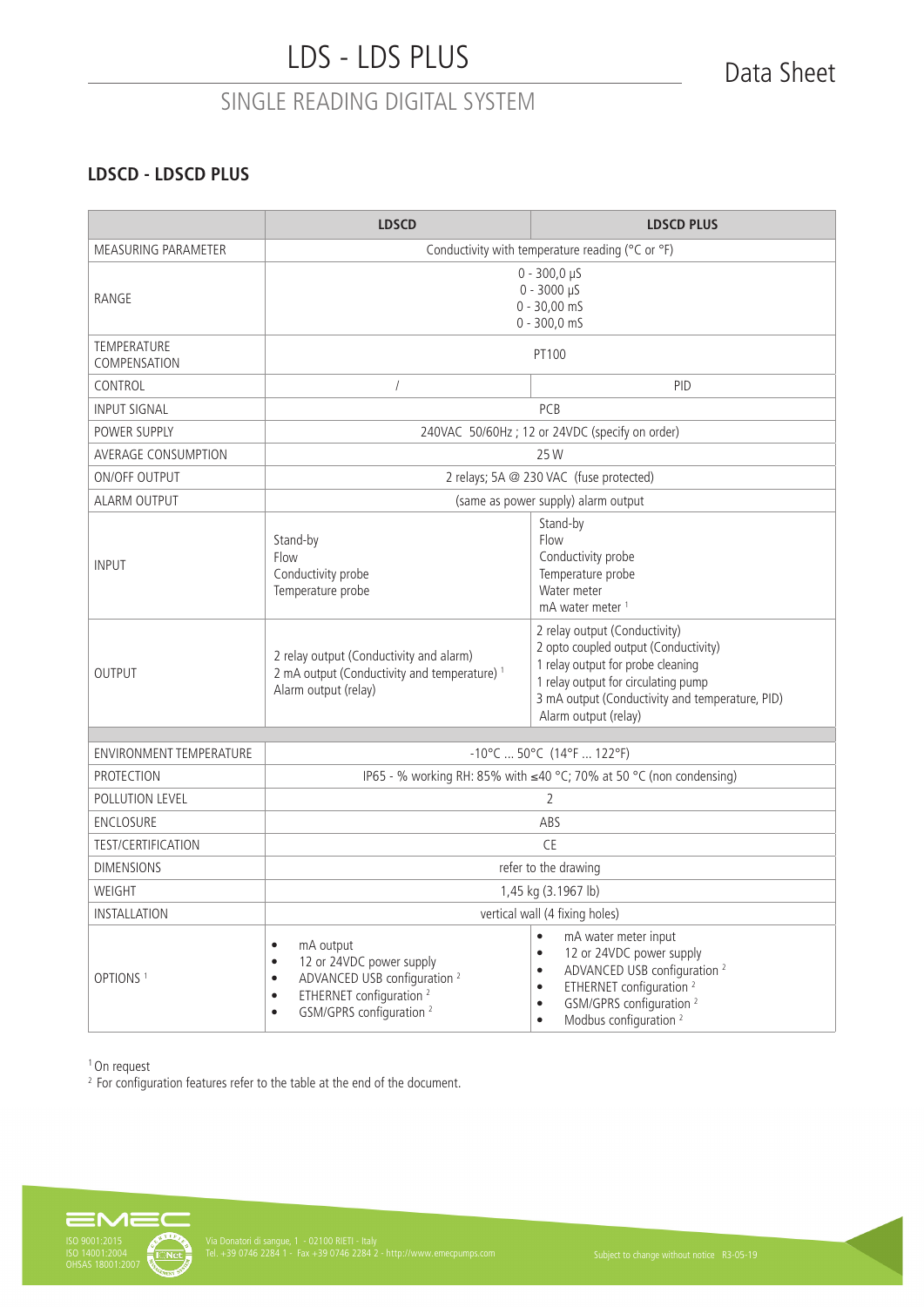### **LDSCD - LDSCD PLUS**

|                                                                | <b>LDSCD</b>                                                                                                                                                                                                                    | <b>LDSCD PLUS</b>                                                                                                                                                                                                                                                                            |  |
|----------------------------------------------------------------|---------------------------------------------------------------------------------------------------------------------------------------------------------------------------------------------------------------------------------|----------------------------------------------------------------------------------------------------------------------------------------------------------------------------------------------------------------------------------------------------------------------------------------------|--|
| MEASURING PARAMETER                                            | Conductivity with temperature reading (°C or °F)                                                                                                                                                                                |                                                                                                                                                                                                                                                                                              |  |
| RANGE                                                          | $0 - 300,0 \,\mu S$<br>$0 - 3000 \mu S$<br>$0 - 30,00$ mS<br>$0 - 300, 0$ mS                                                                                                                                                    |                                                                                                                                                                                                                                                                                              |  |
| <b>TEMPERATURE</b><br>COMPENSATION                             |                                                                                                                                                                                                                                 | PT100                                                                                                                                                                                                                                                                                        |  |
| CONTROL                                                        | $\sqrt{2}$                                                                                                                                                                                                                      | <b>PID</b>                                                                                                                                                                                                                                                                                   |  |
| INPUT SIGNAL                                                   |                                                                                                                                                                                                                                 | PCB                                                                                                                                                                                                                                                                                          |  |
| POWER SUPPLY                                                   |                                                                                                                                                                                                                                 | 240VAC 50/60Hz; 12 or 24VDC (specify on order)                                                                                                                                                                                                                                               |  |
| AVERAGE CONSUMPTION                                            |                                                                                                                                                                                                                                 | 25 W                                                                                                                                                                                                                                                                                         |  |
| <b>ON/OFF OUTPUT</b>                                           |                                                                                                                                                                                                                                 | 2 relays; 5A @ 230 VAC (fuse protected)                                                                                                                                                                                                                                                      |  |
| ALARM OUTPUT                                                   |                                                                                                                                                                                                                                 | (same as power supply) alarm output                                                                                                                                                                                                                                                          |  |
| <b>INPUT</b>                                                   | Stand-by<br>Flow<br>Stand-by<br>Flow<br>Conductivity probe<br>Conductivity probe<br>Temperature probe<br>Temperature probe<br>Water meter<br>mA water meter <sup>1</sup>                                                        |                                                                                                                                                                                                                                                                                              |  |
| <b>OUTPUT</b>                                                  | 2 relay output (Conductivity and alarm)<br>2 mA output (Conductivity and temperature) <sup>1</sup><br>Alarm output (relay)                                                                                                      | 2 relay output (Conductivity)<br>2 opto coupled output (Conductivity)<br>1 relay output for probe cleaning<br>1 relay output for circulating pump<br>3 mA output (Conductivity and temperature, PID)<br>Alarm output (relay)                                                                 |  |
| $-10^{\circ}$ C  50°C (14°F  122°F)<br>ENVIRONMENT TEMPERATURE |                                                                                                                                                                                                                                 |                                                                                                                                                                                                                                                                                              |  |
| <b>PROTECTION</b>                                              |                                                                                                                                                                                                                                 |                                                                                                                                                                                                                                                                                              |  |
| POLLUTION LEVEL                                                | IP65 - % working RH: 85% with ≤40 °C; 70% at 50 °C (non condensing)                                                                                                                                                             |                                                                                                                                                                                                                                                                                              |  |
| ENCLOSURE                                                      | $\overline{2}$<br>ABS                                                                                                                                                                                                           |                                                                                                                                                                                                                                                                                              |  |
| <b>TEST/CERTIFICATION</b>                                      | <b>CE</b>                                                                                                                                                                                                                       |                                                                                                                                                                                                                                                                                              |  |
| <b>DIMENSIONS</b>                                              | refer to the drawing                                                                                                                                                                                                            |                                                                                                                                                                                                                                                                                              |  |
| WEIGHT                                                         | 1,45 kg (3.1967 lb)                                                                                                                                                                                                             |                                                                                                                                                                                                                                                                                              |  |
| <b>INSTALLATION</b>                                            | vertical wall (4 fixing holes)                                                                                                                                                                                                  |                                                                                                                                                                                                                                                                                              |  |
| OPTIONS <sup>1</sup>                                           | mA output<br>$\bullet$<br>12 or 24VDC power supply<br>$\bullet$<br>ADVANCED USB configuration <sup>2</sup><br>$\bullet$<br>ETHERNET configuration <sup>2</sup><br>$\bullet$<br>GSM/GPRS configuration <sup>2</sup><br>$\bullet$ | mA water meter input<br>$\bullet$<br>12 or 24VDC power supply<br>$\bullet$<br>ADVANCED USB configuration <sup>2</sup><br>$\bullet$<br>ETHERNET configuration <sup>2</sup><br>$\bullet$<br>GSM/GPRS configuration <sup>2</sup><br>$\bullet$<br>Modbus configuration <sup>2</sup><br>$\bullet$ |  |

1 On request

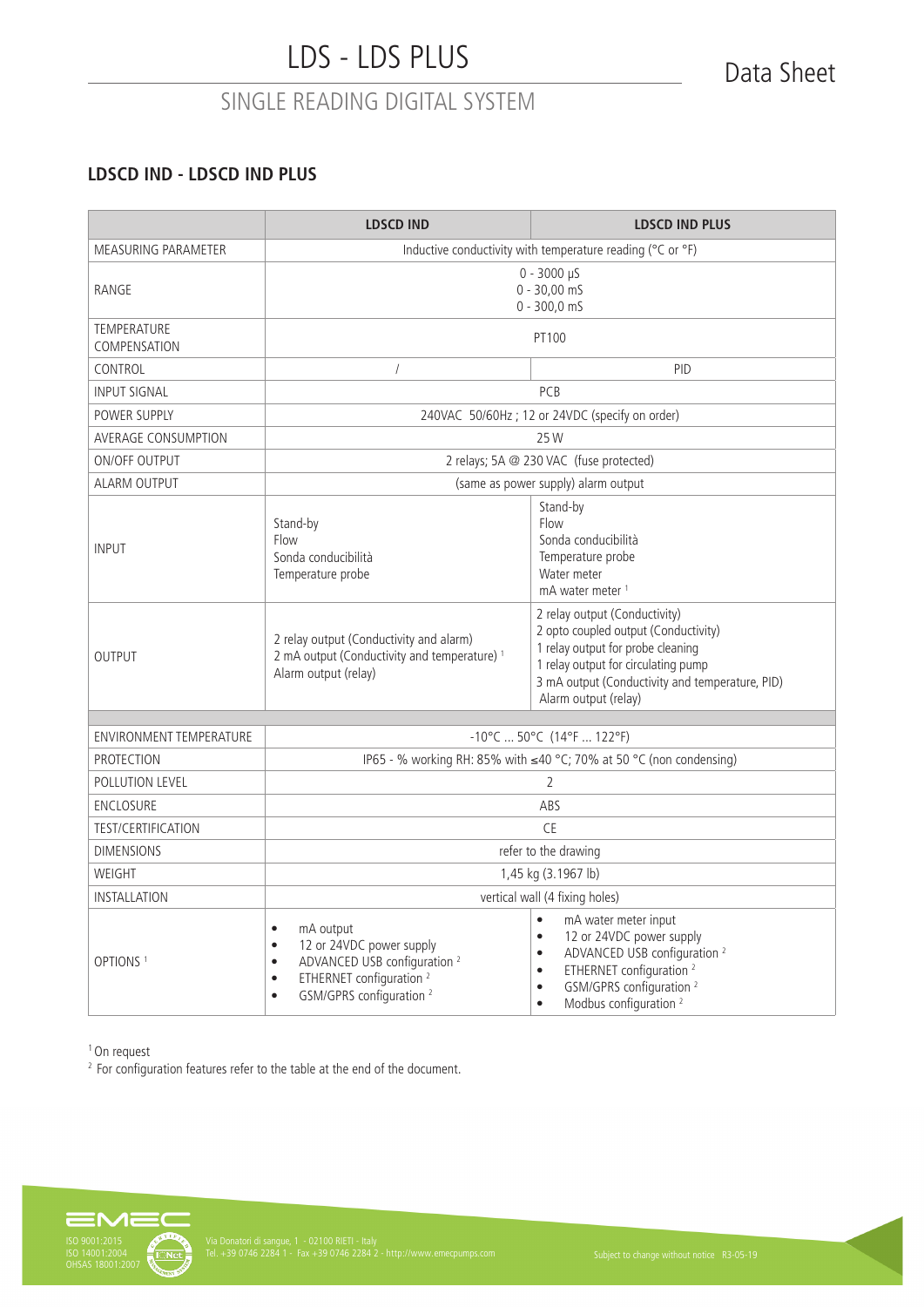### **LDSCD IND - LDSCD IND PLUS**

|                                    | <b>LDSCD IND</b>                                                                                                                                                                                                                | <b>LDSCD IND PLUS</b>                                                                                                                                                                                                                                                                        |  |  |
|------------------------------------|---------------------------------------------------------------------------------------------------------------------------------------------------------------------------------------------------------------------------------|----------------------------------------------------------------------------------------------------------------------------------------------------------------------------------------------------------------------------------------------------------------------------------------------|--|--|
| MEASURING PARAMETER                | Inductive conductivity with temperature reading (°C or °F)                                                                                                                                                                      |                                                                                                                                                                                                                                                                                              |  |  |
| RANGE                              | $0 - 3000 \,\mu S$<br>$0 - 30,00 \text{ m}$<br>$0 - 300, 0$ mS                                                                                                                                                                  |                                                                                                                                                                                                                                                                                              |  |  |
| <b>TEMPERATURE</b><br>COMPENSATION | PT100                                                                                                                                                                                                                           |                                                                                                                                                                                                                                                                                              |  |  |
| CONTROL                            | $\sqrt{ }$                                                                                                                                                                                                                      | PID                                                                                                                                                                                                                                                                                          |  |  |
| <b>INPUT SIGNAL</b>                |                                                                                                                                                                                                                                 | PCB                                                                                                                                                                                                                                                                                          |  |  |
| POWER SUPPLY                       |                                                                                                                                                                                                                                 | 240VAC 50/60Hz; 12 or 24VDC (specify on order)                                                                                                                                                                                                                                               |  |  |
| AVERAGE CONSUMPTION                |                                                                                                                                                                                                                                 | 25 W                                                                                                                                                                                                                                                                                         |  |  |
| <b>ON/OFF OUTPUT</b>               |                                                                                                                                                                                                                                 | 2 relays; 5A @ 230 VAC (fuse protected)                                                                                                                                                                                                                                                      |  |  |
| <b>ALARM OUTPUT</b>                |                                                                                                                                                                                                                                 | (same as power supply) alarm output                                                                                                                                                                                                                                                          |  |  |
| <b>INPUT</b>                       | Stand-by<br>Flow<br>Sonda conducibilità<br>Temperature probe                                                                                                                                                                    | Stand-by<br>Flow<br>Sonda conducibilità<br>Temperature probe<br>Water meter<br>mA water meter <sup>1</sup>                                                                                                                                                                                   |  |  |
| <b>OUTPUT</b>                      | 2 relay output (Conductivity and alarm)<br>2 mA output (Conductivity and temperature) <sup>1</sup><br>Alarm output (relay)                                                                                                      | 2 relay output (Conductivity)<br>2 opto coupled output (Conductivity)<br>1 relay output for probe cleaning<br>1 relay output for circulating pump<br>3 mA output (Conductivity and temperature, PID)<br>Alarm output (relay)                                                                 |  |  |
| <b>ENVIRONMENT TEMPERATURE</b>     | $-10^{\circ}$ C  50°C (14°F  122°F)                                                                                                                                                                                             |                                                                                                                                                                                                                                                                                              |  |  |
| <b>PROTECTION</b>                  | IP65 - % working RH: 85% with ≤40 °C; 70% at 50 °C (non condensing)                                                                                                                                                             |                                                                                                                                                                                                                                                                                              |  |  |
| POLLUTION LEVEL                    | $\overline{2}$                                                                                                                                                                                                                  |                                                                                                                                                                                                                                                                                              |  |  |
| ENCLOSURE                          | ABS                                                                                                                                                                                                                             |                                                                                                                                                                                                                                                                                              |  |  |
| <b>TEST/CERTIFICATION</b>          | <b>CE</b>                                                                                                                                                                                                                       |                                                                                                                                                                                                                                                                                              |  |  |
| <b>DIMENSIONS</b>                  | refer to the drawing                                                                                                                                                                                                            |                                                                                                                                                                                                                                                                                              |  |  |
| WEIGHT                             | 1,45 kg (3.1967 lb)                                                                                                                                                                                                             |                                                                                                                                                                                                                                                                                              |  |  |
| <b>INSTALLATION</b>                | vertical wall (4 fixing holes)                                                                                                                                                                                                  |                                                                                                                                                                                                                                                                                              |  |  |
| OPTIONS <sup>1</sup>               | mA output<br>$\bullet$<br>12 or 24VDC power supply<br>$\bullet$<br>ADVANCED USB configuration <sup>2</sup><br>$\bullet$<br>ETHERNET configuration <sup>2</sup><br>$\bullet$<br>GSM/GPRS configuration <sup>2</sup><br>$\bullet$ | $\bullet$<br>mA water meter input<br>12 or 24VDC power supply<br>$\bullet$<br>ADVANCED USB configuration <sup>2</sup><br>$\bullet$<br>ETHERNET configuration <sup>2</sup><br>$\bullet$<br>GSM/GPRS configuration <sup>2</sup><br>$\bullet$<br>Modbus configuration <sup>2</sup><br>$\bullet$ |  |  |

<sup>1</sup> On request

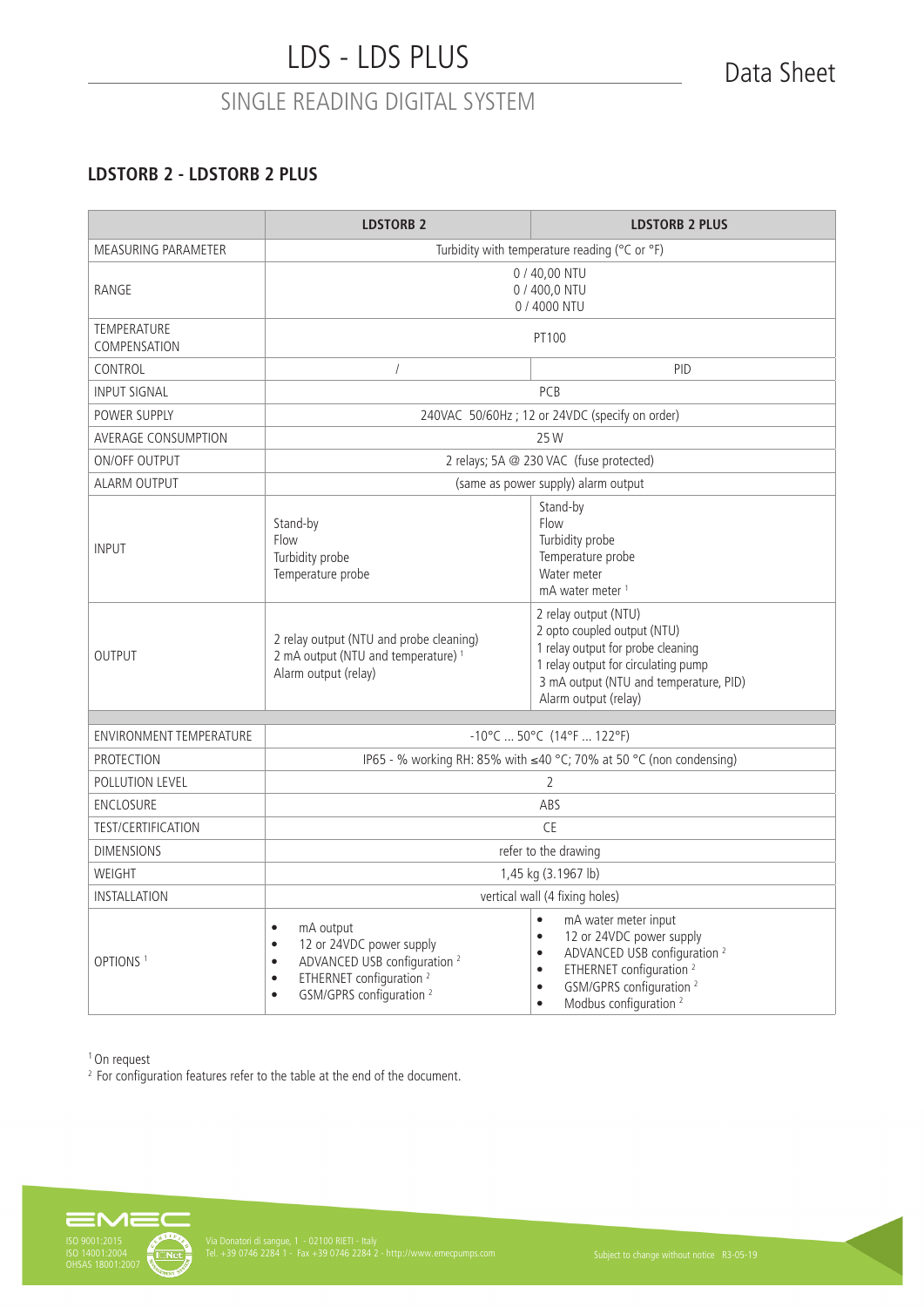### **LDSTORB 2 - LDSTORB 2 PLUS**

|                                    | <b>LDSTORB 2</b>                                                                                                                                                                                                                | <b>LDSTORB 2 PLUS</b>                                                                                                                                                                                                                                                                        |  |
|------------------------------------|---------------------------------------------------------------------------------------------------------------------------------------------------------------------------------------------------------------------------------|----------------------------------------------------------------------------------------------------------------------------------------------------------------------------------------------------------------------------------------------------------------------------------------------|--|
| <b>MEASURING PARAMETER</b>         | Turbidity with temperature reading (°C or °F)                                                                                                                                                                                   |                                                                                                                                                                                                                                                                                              |  |
| RANGE                              | 0 / 40,00 NTU<br>0 / 400,0 NTU<br>0 / 4000 NTU                                                                                                                                                                                  |                                                                                                                                                                                                                                                                                              |  |
| <b>TEMPERATURE</b><br>COMPENSATION | PT100                                                                                                                                                                                                                           |                                                                                                                                                                                                                                                                                              |  |
| CONTROL                            | $\sqrt{ }$                                                                                                                                                                                                                      | PID                                                                                                                                                                                                                                                                                          |  |
| <b>INPUT SIGNAL</b>                |                                                                                                                                                                                                                                 | PCB                                                                                                                                                                                                                                                                                          |  |
| POWER SUPPLY                       |                                                                                                                                                                                                                                 | 240VAC 50/60Hz; 12 or 24VDC (specify on order)                                                                                                                                                                                                                                               |  |
| <b>AVERAGE CONSUMPTION</b>         |                                                                                                                                                                                                                                 | 25 W                                                                                                                                                                                                                                                                                         |  |
| <b>ON/OFF OUTPUT</b>               |                                                                                                                                                                                                                                 | 2 relays; 5A @ 230 VAC (fuse protected)                                                                                                                                                                                                                                                      |  |
| <b>ALARM OUTPUT</b>                |                                                                                                                                                                                                                                 | (same as power supply) alarm output                                                                                                                                                                                                                                                          |  |
| <b>INPUT</b>                       | Stand-by<br>Flow<br>Stand-by<br>Flow<br>Turbidity probe<br>Turbidity probe<br>Temperature probe<br>Temperature probe<br>Water meter<br>mA water meter <sup>1</sup>                                                              |                                                                                                                                                                                                                                                                                              |  |
| <b>OUTPUT</b>                      | 2 relay output (NTU and probe cleaning)<br>2 mA output (NTU and temperature) <sup>1</sup><br>Alarm output (relay)                                                                                                               | 2 relay output (NTU)<br>2 opto coupled output (NTU)<br>1 relay output for probe cleaning<br>1 relay output for circulating pump<br>3 mA output (NTU and temperature, PID)<br>Alarm output (relay)                                                                                            |  |
| <b>ENVIRONMENT TEMPERATURE</b>     |                                                                                                                                                                                                                                 |                                                                                                                                                                                                                                                                                              |  |
| <b>PROTECTION</b>                  | $-10^{\circ}$ C  50°C (14°F  122°F)                                                                                                                                                                                             |                                                                                                                                                                                                                                                                                              |  |
| POLLUTION LEVEL                    | IP65 - % working RH: 85% with ≤40 °C; 70% at 50 °C (non condensing)<br>$\mathcal{P}$                                                                                                                                            |                                                                                                                                                                                                                                                                                              |  |
| ENCLOSURE                          | ABS                                                                                                                                                                                                                             |                                                                                                                                                                                                                                                                                              |  |
| <b>TEST/CERTIFICATION</b>          | <b>CE</b>                                                                                                                                                                                                                       |                                                                                                                                                                                                                                                                                              |  |
| <b>DIMENSIONS</b>                  | refer to the drawing                                                                                                                                                                                                            |                                                                                                                                                                                                                                                                                              |  |
| WEIGHT                             | 1,45 kg (3.1967 lb)                                                                                                                                                                                                             |                                                                                                                                                                                                                                                                                              |  |
| INSTALLATION                       | vertical wall (4 fixing holes)                                                                                                                                                                                                  |                                                                                                                                                                                                                                                                                              |  |
| OPTIONS <sup>1</sup>               | mA output<br>$\bullet$<br>12 or 24VDC power supply<br>$\bullet$<br>ADVANCED USB configuration <sup>2</sup><br>$\bullet$<br>ETHERNET configuration <sup>2</sup><br>$\bullet$<br>GSM/GPRS configuration <sup>2</sup><br>$\bullet$ | $\bullet$<br>mA water meter input<br>12 or 24VDC power supply<br>$\bullet$<br>ADVANCED USB configuration <sup>2</sup><br>$\bullet$<br>ETHERNET configuration <sup>2</sup><br>$\bullet$<br>GSM/GPRS configuration <sup>2</sup><br>$\bullet$<br>Modbus configuration <sup>2</sup><br>$\bullet$ |  |

<sup>1</sup> On request

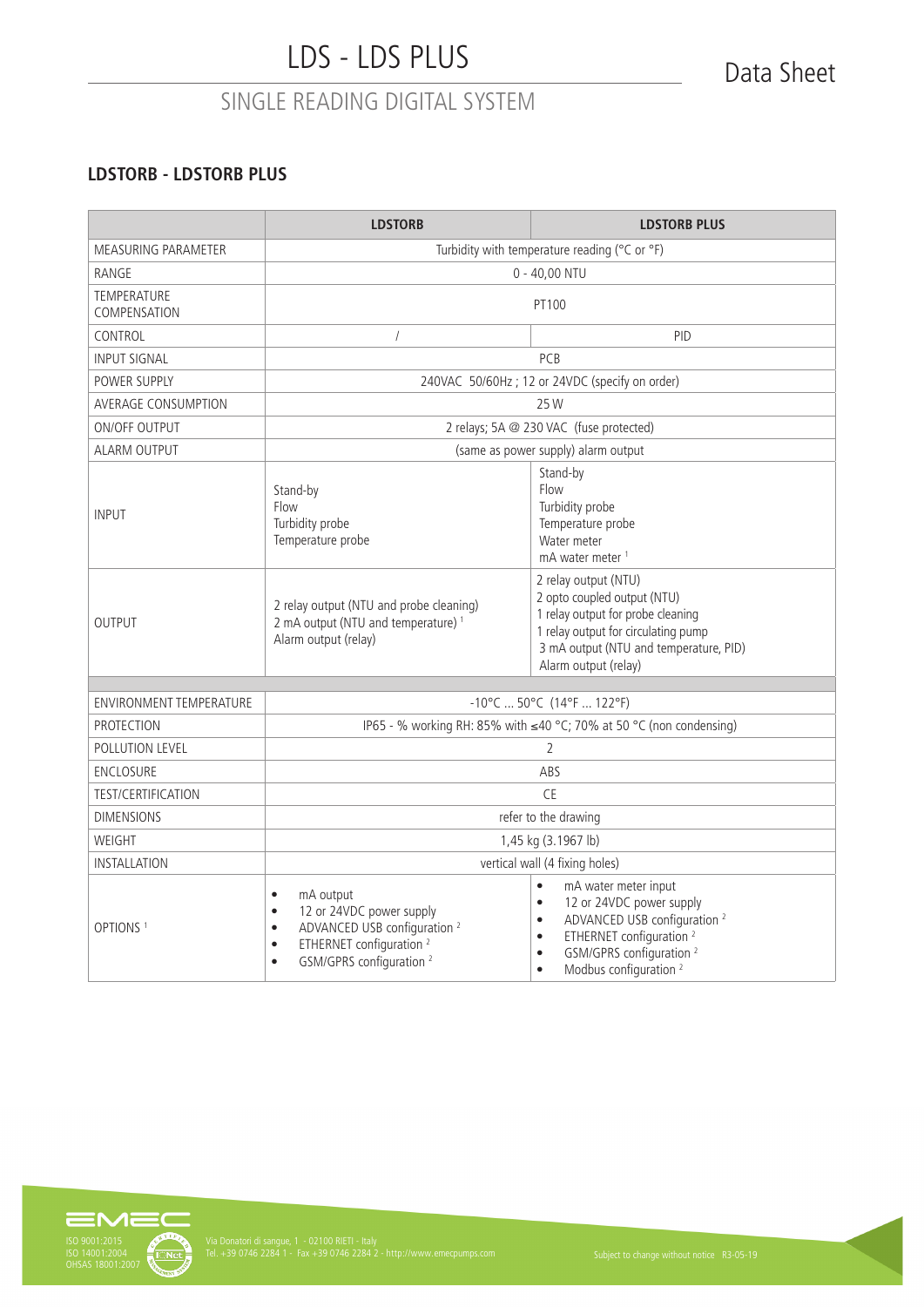### **LDSTORB - LDSTORB PLUS**

|                                                                | <b>LDSTORB</b>                                                                                                                                                                                                                  | <b>LDSTORB PLUS</b>                                                                                                                                                                                                                                                                          |  |
|----------------------------------------------------------------|---------------------------------------------------------------------------------------------------------------------------------------------------------------------------------------------------------------------------------|----------------------------------------------------------------------------------------------------------------------------------------------------------------------------------------------------------------------------------------------------------------------------------------------|--|
| MEASURING PARAMETER                                            | Turbidity with temperature reading ( $\degree$ C or $\degree$ F)                                                                                                                                                                |                                                                                                                                                                                                                                                                                              |  |
| RANGE                                                          | $0 - 40,00$ NTU                                                                                                                                                                                                                 |                                                                                                                                                                                                                                                                                              |  |
| <b>TEMPERATURE</b><br>COMPENSATION                             | PT100                                                                                                                                                                                                                           |                                                                                                                                                                                                                                                                                              |  |
| CONTROL                                                        | $\sqrt{2}$                                                                                                                                                                                                                      | <b>PID</b>                                                                                                                                                                                                                                                                                   |  |
| <b>INPUT SIGNAL</b>                                            |                                                                                                                                                                                                                                 | PCB                                                                                                                                                                                                                                                                                          |  |
| POWER SUPPLY                                                   | 240VAC 50/60Hz; 12 or 24VDC (specify on order)                                                                                                                                                                                  |                                                                                                                                                                                                                                                                                              |  |
| <b>AVERAGE CONSUMPTION</b>                                     |                                                                                                                                                                                                                                 | 25 W                                                                                                                                                                                                                                                                                         |  |
| <b>ON/OFF OUTPUT</b>                                           |                                                                                                                                                                                                                                 | 2 relays; 5A @ 230 VAC (fuse protected)                                                                                                                                                                                                                                                      |  |
| ALARM OUTPUT                                                   |                                                                                                                                                                                                                                 | (same as power supply) alarm output                                                                                                                                                                                                                                                          |  |
| <b>INPUT</b>                                                   | Stand-by<br>Flow<br>Turbidity probe<br>Temperature probe                                                                                                                                                                        | Stand-by<br>Flow<br>Turbidity probe<br>Temperature probe<br>Water meter<br>mA water meter <sup>1</sup>                                                                                                                                                                                       |  |
| <b>OUTPUT</b>                                                  | 2 relay output (NTU and probe cleaning)<br>2 mA output (NTU and temperature) <sup>1</sup><br>Alarm output (relay)                                                                                                               | 2 relay output (NTU)<br>2 opto coupled output (NTU)<br>1 relay output for probe cleaning<br>1 relay output for circulating pump<br>3 mA output (NTU and temperature, PID)<br>Alarm output (relay)                                                                                            |  |
| $-10^{\circ}$ C  50°C (14°F  122°F)<br>ENVIRONMENT TEMPERATURE |                                                                                                                                                                                                                                 |                                                                                                                                                                                                                                                                                              |  |
| PROTECTION                                                     |                                                                                                                                                                                                                                 |                                                                                                                                                                                                                                                                                              |  |
| POLLUTION LEVEL                                                | IP65 - % working RH: 85% with ≤40 °C; 70% at 50 °C (non condensing)<br>2                                                                                                                                                        |                                                                                                                                                                                                                                                                                              |  |
| <b>ENCLOSURE</b>                                               | ABS                                                                                                                                                                                                                             |                                                                                                                                                                                                                                                                                              |  |
| <b>TEST/CERTIFICATION</b>                                      | <b>CE</b>                                                                                                                                                                                                                       |                                                                                                                                                                                                                                                                                              |  |
| <b>DIMENSIONS</b>                                              | refer to the drawing                                                                                                                                                                                                            |                                                                                                                                                                                                                                                                                              |  |
| WEIGHT                                                         | 1,45 kg (3.1967 lb)                                                                                                                                                                                                             |                                                                                                                                                                                                                                                                                              |  |
| INSTALLATION                                                   | vertical wall (4 fixing holes)                                                                                                                                                                                                  |                                                                                                                                                                                                                                                                                              |  |
| OPTIONS <sup>1</sup>                                           | mA output<br>$\bullet$<br>12 or 24VDC power supply<br>$\bullet$<br>ADVANCED USB configuration <sup>2</sup><br>$\bullet$<br>ETHERNET configuration <sup>2</sup><br>$\bullet$<br>GSM/GPRS configuration <sup>2</sup><br>$\bullet$ | $\bullet$<br>mA water meter input<br>12 or 24VDC power supply<br>$\bullet$<br>ADVANCED USB configuration <sup>2</sup><br>$\bullet$<br>ETHERNET configuration <sup>2</sup><br>$\bullet$<br>GSM/GPRS configuration <sup>2</sup><br>$\bullet$<br>Modbus configuration <sup>2</sup><br>$\bullet$ |  |

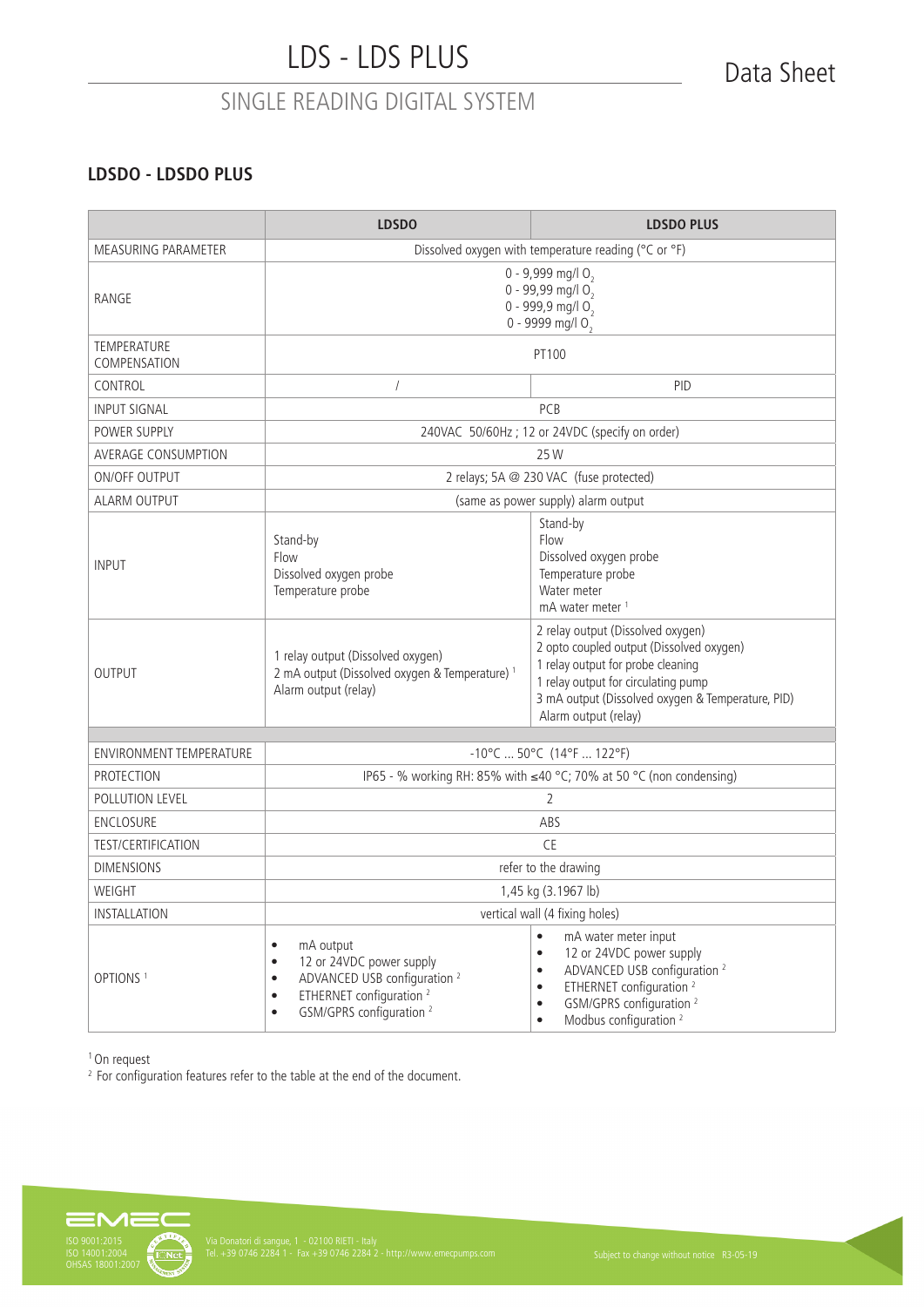### **LDSDO - LDSDO PLUS**

|                                                                | <b>LDSDO</b><br><b>LDSDO PLUS</b>                                                                                                                                                                                               |                                                                                                                                                                                                                                                                                              |  |
|----------------------------------------------------------------|---------------------------------------------------------------------------------------------------------------------------------------------------------------------------------------------------------------------------------|----------------------------------------------------------------------------------------------------------------------------------------------------------------------------------------------------------------------------------------------------------------------------------------------|--|
| MEASURING PARAMETER                                            | Dissolved oxygen with temperature reading (°C or °F)                                                                                                                                                                            |                                                                                                                                                                                                                                                                                              |  |
| RANGE                                                          | 0 - 9,999 mg/l O <sub>2</sub><br>0 - 99,99 mg/l $0,$<br>0 - 999,9 mg/l $0,$<br>0 - 9999 mg/l $0,$                                                                                                                               |                                                                                                                                                                                                                                                                                              |  |
| <b>TEMPERATURE</b><br>COMPENSATION                             |                                                                                                                                                                                                                                 | PT100                                                                                                                                                                                                                                                                                        |  |
| CONTROL                                                        | $\sqrt{2}$                                                                                                                                                                                                                      | <b>PID</b>                                                                                                                                                                                                                                                                                   |  |
| <b>INPUT SIGNAL</b>                                            |                                                                                                                                                                                                                                 | PCB                                                                                                                                                                                                                                                                                          |  |
| POWER SUPPLY                                                   |                                                                                                                                                                                                                                 | 240VAC 50/60Hz; 12 or 24VDC (specify on order)                                                                                                                                                                                                                                               |  |
| AVERAGE CONSUMPTION                                            |                                                                                                                                                                                                                                 | 25 W                                                                                                                                                                                                                                                                                         |  |
| ON/OFF OUTPUT                                                  |                                                                                                                                                                                                                                 | 2 relays; 5A @ 230 VAC (fuse protected)                                                                                                                                                                                                                                                      |  |
| <b>ALARM OUTPUT</b>                                            |                                                                                                                                                                                                                                 | (same as power supply) alarm output                                                                                                                                                                                                                                                          |  |
| <b>INPUT</b>                                                   | Stand-by<br>Stand-by<br>Flow<br>Flow<br>Dissolved oxygen probe<br>Temperature probe<br>Dissolved oxygen probe<br>Temperature probe<br>Water meter<br>mA water meter <sup>1</sup>                                                |                                                                                                                                                                                                                                                                                              |  |
| OUTPUT                                                         | 1 relay output (Dissolved oxygen)<br>2 mA output (Dissolved oxygen & Temperature) <sup>1</sup><br>Alarm output (relay)                                                                                                          | 2 relay output (Dissolved oxygen)<br>2 opto coupled output (Dissolved oxygen)<br>1 relay output for probe cleaning<br>1 relay output for circulating pump<br>3 mA output (Dissolved oxygen & Temperature, PID)<br>Alarm output (relay)                                                       |  |
| $-10^{\circ}$ C  50°C (14°F  122°F)<br>ENVIRONMENT TEMPERATURE |                                                                                                                                                                                                                                 |                                                                                                                                                                                                                                                                                              |  |
| <b>PROTECTION</b>                                              |                                                                                                                                                                                                                                 | IP65 - % working RH: 85% with ≤40 °C; 70% at 50 °C (non condensing)                                                                                                                                                                                                                          |  |
| <b>POLLUTION LEVEL</b>                                         |                                                                                                                                                                                                                                 |                                                                                                                                                                                                                                                                                              |  |
| ENCLOSURE                                                      | 2<br>ABS                                                                                                                                                                                                                        |                                                                                                                                                                                                                                                                                              |  |
| <b>TEST/CERTIFICATION</b>                                      | <b>CE</b>                                                                                                                                                                                                                       |                                                                                                                                                                                                                                                                                              |  |
| <b>DIMENSIONS</b>                                              | refer to the drawing                                                                                                                                                                                                            |                                                                                                                                                                                                                                                                                              |  |
| WEIGHT                                                         | 1,45 kg (3.1967 lb)                                                                                                                                                                                                             |                                                                                                                                                                                                                                                                                              |  |
| INSTALLATION                                                   | vertical wall (4 fixing holes)                                                                                                                                                                                                  |                                                                                                                                                                                                                                                                                              |  |
| OPTIONS <sup>1</sup>                                           | mA output<br>$\bullet$<br>12 or 24VDC power supply<br>$\bullet$<br>ADVANCED USB configuration <sup>2</sup><br>$\bullet$<br>ETHERNET configuration <sup>2</sup><br>$\bullet$<br>GSM/GPRS configuration <sup>2</sup><br>$\bullet$ | mA water meter input<br>$\bullet$<br>12 or 24VDC power supply<br>$\bullet$<br>ADVANCED USB configuration <sup>2</sup><br>$\bullet$<br>ETHERNET configuration <sup>2</sup><br>$\bullet$<br>GSM/GPRS configuration <sup>2</sup><br>$\bullet$<br>Modbus configuration <sup>2</sup><br>$\bullet$ |  |

<sup>1</sup> On request

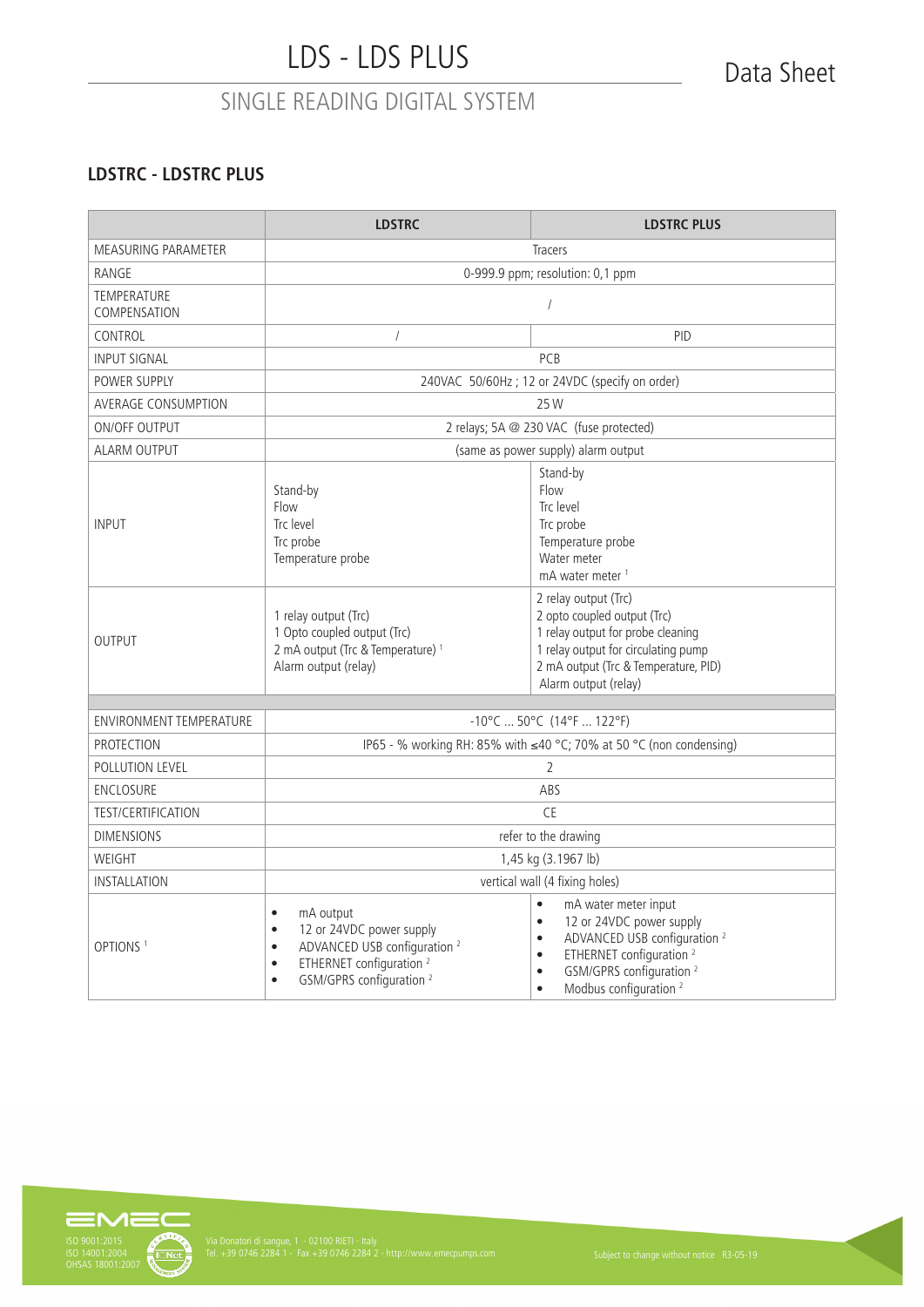### **LDSTRC - LDSTRC PLUS**

|                                    | <b>LDSTRC</b>                                                                                                                                                                                                                   | <b>LDSTRC PLUS</b>                                                                                                                                                                                                                                                                           |  |
|------------------------------------|---------------------------------------------------------------------------------------------------------------------------------------------------------------------------------------------------------------------------------|----------------------------------------------------------------------------------------------------------------------------------------------------------------------------------------------------------------------------------------------------------------------------------------------|--|
| MEASURING PARAMETER                | <b>Tracers</b>                                                                                                                                                                                                                  |                                                                                                                                                                                                                                                                                              |  |
| RANGE                              | 0-999.9 ppm; resolution: 0,1 ppm                                                                                                                                                                                                |                                                                                                                                                                                                                                                                                              |  |
| <b>TEMPERATURE</b><br>COMPENSATION | $\sqrt{2}$                                                                                                                                                                                                                      |                                                                                                                                                                                                                                                                                              |  |
| CONTROL                            | $\sqrt{2}$                                                                                                                                                                                                                      | <b>PID</b>                                                                                                                                                                                                                                                                                   |  |
| <b>INPUT SIGNAL</b>                |                                                                                                                                                                                                                                 | PCB                                                                                                                                                                                                                                                                                          |  |
| POWER SUPPLY                       | 240VAC 50/60Hz; 12 or 24VDC (specify on order)                                                                                                                                                                                  |                                                                                                                                                                                                                                                                                              |  |
| <b>AVERAGE CONSUMPTION</b>         |                                                                                                                                                                                                                                 | 25 W                                                                                                                                                                                                                                                                                         |  |
| <b>ON/OFF OUTPUT</b>               |                                                                                                                                                                                                                                 | 2 relays; 5A @ 230 VAC (fuse protected)                                                                                                                                                                                                                                                      |  |
| <b>ALARM OUTPUT</b>                |                                                                                                                                                                                                                                 | (same as power supply) alarm output                                                                                                                                                                                                                                                          |  |
| <b>INPUT</b>                       | Stand-by<br>Flow<br>Trc level<br>Trc probe<br>Temperature probe                                                                                                                                                                 | Stand-by<br>Flow<br>Trc level<br>Trc probe<br>Temperature probe<br>Water meter<br>mA water meter <sup>1</sup>                                                                                                                                                                                |  |
| <b>OUTPUT</b>                      | 1 relay output (Trc)<br>1 Opto coupled output (Trc)<br>2 mA output (Trc & Temperature) <sup>1</sup><br>Alarm output (relay)                                                                                                     | 2 relay output (Trc)<br>2 opto coupled output (Trc)<br>1 relay output for probe cleaning<br>1 relay output for circulating pump<br>2 mA output (Trc & Temperature, PID)<br>Alarm output (relay)                                                                                              |  |
| <b>ENVIRONMENT TEMPERATURE</b>     | $-10^{\circ}$ C  50 $^{\circ}$ C (14 $^{\circ}$ F  122 $^{\circ}$ F)                                                                                                                                                            |                                                                                                                                                                                                                                                                                              |  |
| PROTECTION                         | IP65 - % working RH: 85% with ≤40 °C; 70% at 50 °C (non condensing)                                                                                                                                                             |                                                                                                                                                                                                                                                                                              |  |
| POLLUTION LEVEL                    | $\overline{2}$                                                                                                                                                                                                                  |                                                                                                                                                                                                                                                                                              |  |
| <b>ENCLOSURE</b>                   | ABS                                                                                                                                                                                                                             |                                                                                                                                                                                                                                                                                              |  |
| <b>TEST/CERTIFICATION</b>          | <b>CE</b>                                                                                                                                                                                                                       |                                                                                                                                                                                                                                                                                              |  |
| <b>DIMENSIONS</b>                  | refer to the drawing                                                                                                                                                                                                            |                                                                                                                                                                                                                                                                                              |  |
| WEIGHT                             | 1,45 kg (3.1967 lb)                                                                                                                                                                                                             |                                                                                                                                                                                                                                                                                              |  |
| <b>INSTALLATION</b>                | vertical wall (4 fixing holes)                                                                                                                                                                                                  |                                                                                                                                                                                                                                                                                              |  |
| OPTIONS <sup>1</sup>               | mA output<br>$\bullet$<br>12 or 24VDC power supply<br>$\bullet$<br>ADVANCED USB configuration <sup>2</sup><br>$\bullet$<br>ETHERNET configuration <sup>2</sup><br>$\bullet$<br>GSM/GPRS configuration <sup>2</sup><br>$\bullet$ | $\bullet$<br>mA water meter input<br>12 or 24VDC power supply<br>$\bullet$<br>ADVANCED USB configuration <sup>2</sup><br>$\bullet$<br>ETHERNET configuration <sup>2</sup><br>$\bullet$<br>GSM/GPRS configuration <sup>2</sup><br>$\bullet$<br>Modbus configuration <sup>2</sup><br>$\bullet$ |  |